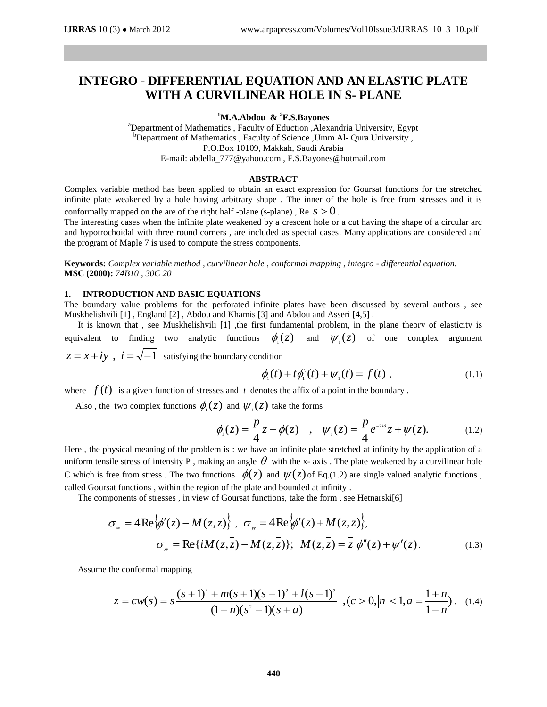# **INTEGRO - DIFFERENTIAL EQUATION AND AN ELASTIC PLATE WITH A CURVILINEAR HOLE IN S- PLANE**

## **<sup>1</sup>M.A.Abdou & <sup>2</sup>F.S.Bayones**

<sup>a</sup>Department of Mathematics , Faculty of Eduction , Alexandria University, Egypt  $b$ Department of Mathematics, Faculty of Science, Umm Al- Qura University, P.O.Box 10109, Makkah, Saudi Arabia E-mail: [abdella\\_777@yahoo.com](mailto:abdella_77@yahoo.com) , [F.S.Bayones@hotmail.com](mailto:F.S.Bayones@hotmail.com)

#### **ABSTRACT**

Complex variable method has been applied to obtain an exact expression for Goursat functions for the stretched infinite plate weakened by a hole having arbitrary shape . The inner of the hole is free from stresses and it is conformally mapped on the are of the right half -plane (s-plane),  $\text{Re } s > 0$ .

The interesting cases when the infinite plate weakened by a crescent hole or a cut having the shape of a circular arc and hypotrochoidal with three round corners , are included as special cases. Many applications are considered and the program of Maple 7 is used to compute the stress components.

**Keywords:** *Complex variable method , curvilinear hole , conformal mapping , integro - differential equation.*  **MSC (2000):** *74B10 , 30C 20*

# **1. INTRODUCTION AND BASIC EQUATIONS**

The boundary value problems for the perforated infinite plates have been discussed by several authors , see Muskhelishvili [1] , England [2] , Abdou and Khamis [3] and Abdou and Asseri [4,5] .

It is known that, see Muskhelishvili [1], the first fundamental problem, in the plane theory of elasticity is equivalent to finding two analytic functions  $\phi_{i}(z)$ and  $\psi_1(z)$  of one complex argument  $z = x + iy$ ,  $i = \sqrt{-1}$  satisfying the boundary condition

$$
\phi_{\scriptscriptstyle \parallel}(t) + t\overline{\phi_{\scriptscriptstyle \perp}}^{\scriptscriptstyle \perp}(t) + \overline{\psi_{\scriptscriptstyle \perp}}^{\scriptscriptstyle \perp}(t) = f(t) , \qquad (1.1)
$$

where  $f(t)$  is a given function of stresses and  $t$  denotes the affix of a point in the boundary.

Also, the two complex functions  $\phi_1(z)$  and  $\psi_1(z)$  take the forms

$$
\phi_1(z) = \frac{p}{4}z + \phi(z) \quad , \quad \psi_1(z) = \frac{p}{4}e^{-2i\theta}z + \psi(z). \tag{1.2}
$$

Here , the physical meaning of the problem is : we have an infinite plate stretched at infinity by the application of a uniform tensile stress of intensity P, making an angle  $\theta$  with the x- axis. The plate weakened by a curvilinear hole C which is free from stress. The two functions  $\phi(z)$  and  $\psi(z)$  of Eq.(1.2) are single valued analytic functions, called Goursat functions , within the region of the plate and bounded at infinity .

The components of stresses , in view of Goursat functions, take the form , see Hetnarski[6]

$$
\sigma_{\scriptscriptstyle x} = 4 \operatorname{Re} \{\phi'(z) - M(z, \overline{z})\}, \quad \sigma_{\scriptscriptstyle y} = 4 \operatorname{Re} \{\phi'(z) + M(z, \overline{z})\},
$$
\n
$$
\sigma_{\scriptscriptstyle y} = \operatorname{Re} \{i \overline{M(z, \overline{z})} - M(z, \overline{z})\}; \quad M(z, \overline{z}) = \overline{z} \; \phi''(z) + \psi'(z). \tag{1.3}
$$

Assume the conformal mapping

$$
z = cw(s) = s \frac{(s+1)^3 + m(s+1)(s-1)^2 + l(s-1)^3}{(1-n)(s^2-1)(s+a)}, (c > 0, |n| < 1, a = \frac{1+n}{1-n}). \quad (1.4)
$$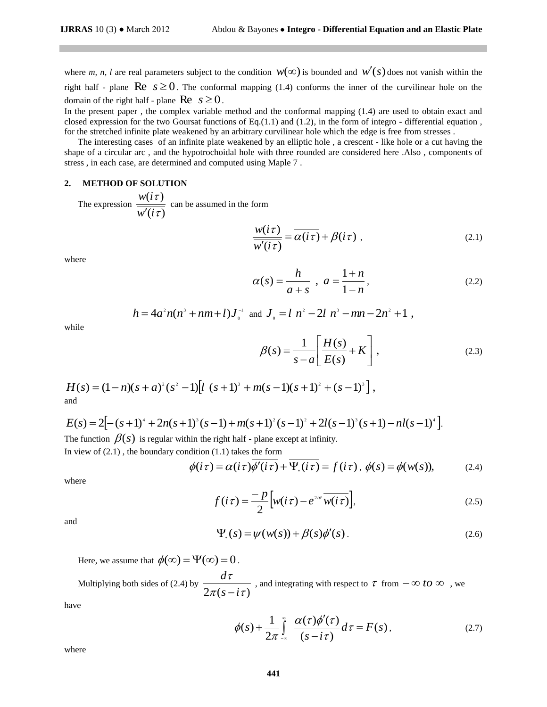where *m, n, l* are real parameters subject to the condition  $w(\infty)$  is bounded and  $w'(s)$  does not vanish within the right half - plane  $\text{Re } s \ge 0$ . The conformal mapping (1.4) conforms the inner of the curvilinear hole on the domain of the right half - plane  $\text{Re } s \geq 0$ .

In the present paper , the complex variable method and the conformal mapping (1.4) are used to obtain exact and closed expression for the two Goursat functions of Eq.(1.1) and (1.2), in the form of integro - differential equation , for the stretched infinite plate weakened by an arbitrary curvilinear hole which the edge is free from stresses .

 The interesting cases of an infinite plate weakened by an elliptic hole , a crescent - like hole or a cut having the shape of a circular arc , and the hypotrochoidal hole with three rounded are considered here .Also , components of stress , in each case, are determined and computed using Maple 7 .

### **2. METHOD OF SOLUTION**

 The expression  $(i\tau)$  $(i\tau)$ τ τ *w i*  $w(i)$  $\frac{\overline{c}}{\overline{c}}$  can be assumed in the form

$$
\frac{w(i\tau)}{w'(i\tau)} = \overline{\alpha(i\tau)} + \beta(i\tau) ,
$$
\n(2.1)

where

*n n a*  $a + s$ *h s*  $\overline{a}$  $\ddot{}$  $=$  $\ddot{}$  $=$ 1 1  $\alpha(s) = \frac{n}{s} \ , \ a = \frac{1+n}{s} \ , \tag{2.2}$ 

$$
h=4a^2n(n^3+nm+1)J_0^{-1} \text{ and } J_0=ln^2-2l n^3-mn-2n^2+1,
$$

while

$$
\beta(s) = \frac{1}{s - a} \left[ \frac{H(s)}{E(s)} + K \right],
$$
\n(2.3)

 $H(s) = (1 - n)(s + a)^{2}(s^{2} - 1)[l (s + 1)^{3} + m(s - 1)(s + 1)^{2} + (s - 1)^{3}],$ and

$$
E(s) = 2[-(s+1)^{4} + 2n(s+1)^{3}(s-1) + m(s+1)^{2}(s-1)^{2} + 2l(s-1)^{3}(s+1) - nl(s-1)^{4}].
$$
  
The function  $\beta(s)$  is regular within the right half - plane except at infinity.

In view of  $(2.1)$ , the boundary condition  $(1.1)$  takes the form

$$
\phi(i\,\tau) = \alpha(i\,\tau)\overline{\phi'(i\,\tau)} + \overline{\Psi_*(i\,\tau)} = f(i\,\tau), \ \phi(s) = \phi(w(s)), \tag{2.4}
$$

where

$$
f(i\tau) = -\frac{p}{2} \Big[ w(i\tau) - e^{2i\theta} \overline{w(i\tau)} \Big],
$$
 (2.5)

and

$$
\Psi_{*}(s) = \psi(w(s)) + \beta(s)\phi'(s).
$$
 (2.6)

Here, we assume that  $\phi(\infty) = \Psi(\infty) = 0$ .

Multiplying both sides of (2.4) by  $\frac{ }{2\pi (s-i\tau)}$  $\tau$ *s i d*  $\frac{t}{-i\tau}$ , and integrating with respect to  $\tau$  from  $-\infty$  to  $\infty$ , we

have

$$
\phi(s) + \frac{1}{2\pi} \int_{-\infty}^{\infty} \frac{\alpha(\tau)\overline{\phi'(\tau)}}{(s - i\tau)} d\tau = F(s), \qquad (2.7)
$$

where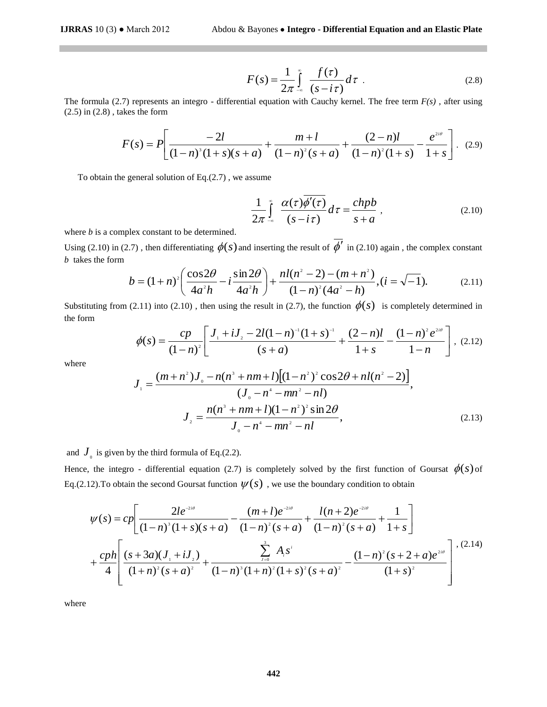$$
F(s) = \frac{1}{2\pi} \int_{-\infty}^{\infty} \frac{f(\tau)}{(s - i\tau)} d\tau
$$
 (2.8)

The formula (2.7) represents an integro - differential equation with Cauchy kernel. The free term *F(s)* , after using (2.5) in (2.8) , takes the form

$$
F(s) = P\left[\frac{-2l}{(1-n)^3(1+s)(s+a)} + \frac{m+l}{(1-n)^2(s+a)} + \frac{(2-n)l}{(1-n)^2(1+s)} - \frac{e^{2i\theta}}{1+s}\right]. \tag{2.9}
$$

To obtain the general solution of  $Eq.(2.7)$ , we assume

$$
\frac{1}{2\pi} \int_{-\infty}^{\infty} \frac{\alpha(\tau)\overline{\phi'(\tau)}}{(s-i\tau)} d\tau = \frac{chpb}{s+a} ,
$$
 (2.10)

where *b* is a complex constant to be determined.

Using (2.10) in (2.7), then differentiating  $\phi(s)$  and inserting the result of  $\phi'$  in (2.10) again, the complex constant *b* takes the form

$$
b = (1+n)^2 \left( \frac{\cos 2\theta}{4a^2 h} - i \frac{\sin 2\theta}{4a^2 h} \right) + \frac{n l (n^2 - 2) - (m + n^2)}{(1-n)^2 (4a^2 - h)}, (i = \sqrt{-1}).
$$
 (2.11)

Substituting from (2.11) into (2.10), then using the result in (2.7), the function  $\phi(s)$  is completely determined in the form

$$
\phi(s) = \frac{cp}{(1-n)^2} \left[ \frac{J_1 + iJ_2 - 2l(1-n)^{-1}(1+s)^{-1}}{(s+a)} + \frac{(2-n)l}{1+s} - \frac{(1-n)^2 e^{2i\theta}}{1-n} \right], \tag{2.12}
$$

where

$$
J_{\perp} = \frac{(m+n^2)J_{\circ} - n(n^3 + nm + l)[(1-n^2)^2 \cos 2\theta + nl(n^2 - 2)]}{(J_{\circ} - n^4 - mn^2 - nl)},
$$
  

$$
J_{\perp} = \frac{n(n^3 + nm + l)(1-n^2)^2 \sin 2\theta}{J_{\circ} - n^4 - mn^2 - nl},
$$
 (2.13)

and  $J_{0}$  is given by the third formula of Eq.(2.2).

Hence, the integro - differential equation (2.7) is completely solved by the first function of Goursat  $\phi(s)$  of Eq.(2.12). To obtain the second Goursat function  $\psi(s)$ , we use the boundary condition to obtain

brmulla (2.7) represents an integer of - differential equation with Cauchy kcmel. The free term *F*(*s*), after using  
\n(2.8), takes the form  
\n
$$
F(s) = P\left[\frac{-2l}{(1-n)^2(1+s)(s+a)} + \frac{m+l}{(1-n)^2(s+a)} + \frac{(2-n)l}{(1-n)^2(1+s)} - \frac{e^{3w}}{1+s}\right].
$$
\n(2.9)  
\nobtain the general solution of Eq.(2.7), we assume  
\n
$$
\frac{1}{2\pi} \int_{-\pi}^{\pi} \frac{\alpha(\tau)\overline{\phi'(\tau)}}{s(s-i\tau)} d\tau = \frac{chpb}{s+a},
$$
\n(2.10)  
\n(b) is a complex constant to be determined.  
\n(2.10) in (2.7), then differentiating  $\phi(s)$  and inserting the result of  $\overline{\phi'}$  in (2.10) again, the complex constant  
\n
$$
b = (1+n)^2 \left(\frac{\cos 2\theta}{4a^2h} - i \frac{\sin 2\theta}{4a^2h}\right) + \frac{nI(n^2-2)-(m+n^2)}{(1-n)^2(4a^2-h)}, (i = \sqrt{-1}).
$$
\n(2.11)  
\nPutting from (2.11) into (2.10), then using the result in (2.7), the function  $\phi(s)$  is completely determined in  
\n
$$
\phi(s) = \frac{cp}{(1-n)^2} \left[\frac{I_1 + iJ_2 - 2I(1-n)^2(1+s)^{-1}}{(s+a)} + \frac{(2-n)I_2}{1+s} - \frac{(1-n)^2e^{2m}}{1-n}\right].
$$
\n(2.12)  
\n
$$
J_1 = \frac{(m+n^2)J_0 - n(n^2 + nm + I)[(1-n^2)^2 \cos 2\theta + nI(n^2-2)]}{J_0 - n^2 - nm^2 - nI},
$$
\n
$$
J_2 = \frac{n(n^2 + nm + I)[(1-n^2)^2 \sin 2\theta}{J_0 - n^2 - nm^2 - nI},
$$
\n(2.13)  
\n
$$
J_3 = \frac{n(n^2 + nm + I)[(1-n^2)^2 \sin 2\theta}{J_0 - n^2 - nm^2 - nI},
$$
\n(2.15)  
\n
$$
J_4 = \frac{(n+1)e^{2w
$$

where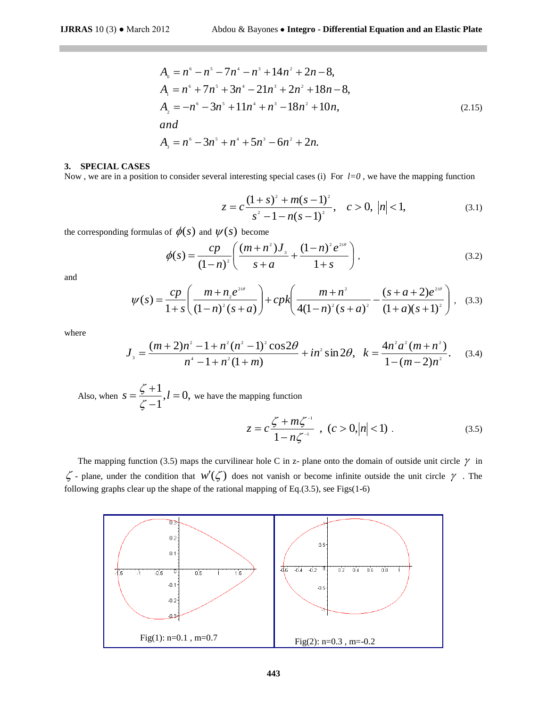$$
A_0 = n^6 - n^5 - 7n^4 - n^3 + 14n^2 + 2n - 8,
$$
  
\n
$$
A_1 = n^6 + 7n^5 + 3n^4 - 21n^3 + 2n^2 + 18n - 8,
$$
  
\n
$$
A_2 = -n^6 - 3n^5 + 11n^4 + n^3 - 18n^2 + 10n,
$$
  
\nand  
\n
$$
A_3 = n^6 - 3n^5 + n^4 + 5n^3 - 6n^2 + 2n.
$$
\n(2.15)

## **3. SPECIAL CASES**

Now, we are in a position to consider several interesting special cases (i) For  $l=0$ , we have the mapping function

$$
z = c \frac{(1+s)^2 + m(s-1)^2}{s^2 - 1 - n(s-1)^2}, \quad c > 0, \ |n| < 1,
$$
 (3.1)

the corresponding formulas of  $\phi(s)$  and  $\psi(s)$  become

$$
\phi(s) = \frac{cp}{(1-n)^2} \left( \frac{(m+n^2)J_s}{s+a} + \frac{(1-n)^2 e^{2i\theta}}{1+s} \right),\tag{3.2}
$$

and

$$
\psi(s) = \frac{cp}{1+s} \left( \frac{m+n_2 e^{2i\theta}}{(1-n)^2 (s+a)} \right) + cpk \left( \frac{m+n^2}{4(1-n)^2 (s+a)^2} - \frac{(s+a+2)e^{2i\theta}}{(1+a)(s+1)^2} \right), \quad (3.3)
$$

where

$$
J_{s} = \frac{(m+2)n^{2} - 1 + n^{2}(n^{2} - 1)^{2}\cos 2\theta}{n^{4} - 1 + n^{2}(1 + m)} + in^{2}\sin 2\theta, \ \ k = \frac{4n^{2}a^{2}(m+n^{2})}{1 - (m-2)n^{2}}.
$$
 (3.4)

Also, when  $s = \frac{5}{3} + 1/2 = 0$ , 1  $\frac{1}{i}$ ,  $l =$  $\overline{a}$  $\ddot{}$  $s = \frac{5}{7}$ , *l*  $\zeta$  $\frac{\zeta+1}{\zeta}$ ,  $l = 0$ , we have the mapping function

$$
z = c \frac{\zeta + m\zeta^{-1}}{1 - n\zeta^{-1}} \; , \; (c > 0, |n| < 1) \; . \tag{3.5}
$$

The mapping function (3.5) maps the curvilinear hole C in z- plane onto the domain of outside unit circle  $\gamma$  in  $\zeta$  - plane, under the condition that  $w'(\zeta)$  does not vanish or become infinite outside the unit circle  $\gamma$ . The following graphs clear up the shape of the rational mapping of Eq. $(3.5)$ , see Figs $(1-6)$ 

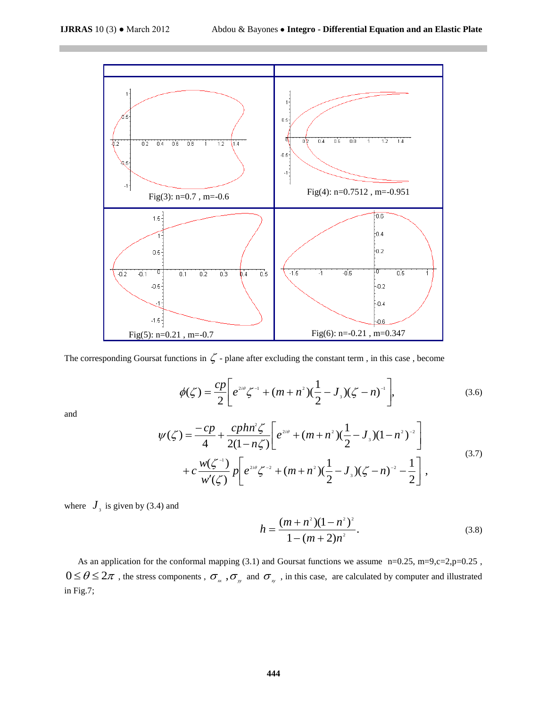

The corresponding Goursat functions in  $\zeta$  - plane after excluding the constant term, in this case, become

$$
\phi(\zeta) = \frac{cp}{2} \bigg[ e^{2i\theta} \zeta^{-1} + (m+n^2)(\frac{1}{2} - J_3)(\zeta - n)^{-1} \bigg],
$$
\n(3.6)

and

$$
\psi(\zeta) = \frac{-cp}{4} + \frac{cphn^2\zeta}{2(1-n\zeta)} \left[ e^{2i\theta} + (m+n^2)(\frac{1}{2} - J_3)(1-n^2)^{-2} \right] + c\frac{w(\zeta^{-1})}{w'(\zeta)} p \left[ e^{2i\theta}\zeta^{-2} + (m+n^2)(\frac{1}{2} - J_3)(\zeta - n)^{-2} - \frac{1}{2} \right],
$$
\n(3.7)

where  $J<sub>3</sub>$  is given by (3.4) and

$$
h = \frac{(m+n^2)(1-n^2)^2}{1-(m+2)n^2}.
$$
\n(3.8)

As an application for the conformal mapping (3.1) and Goursat functions we assume n=0.25, m=9,c=2,p=0.25,  $0 \le \theta \le 2\pi$ , the stress components,  $\sigma_{\alpha}$ ,  $\sigma_{\gamma}$  and  $\sigma_{\gamma}$ , in this case, are calculated by computer and illustrated in Fig.7;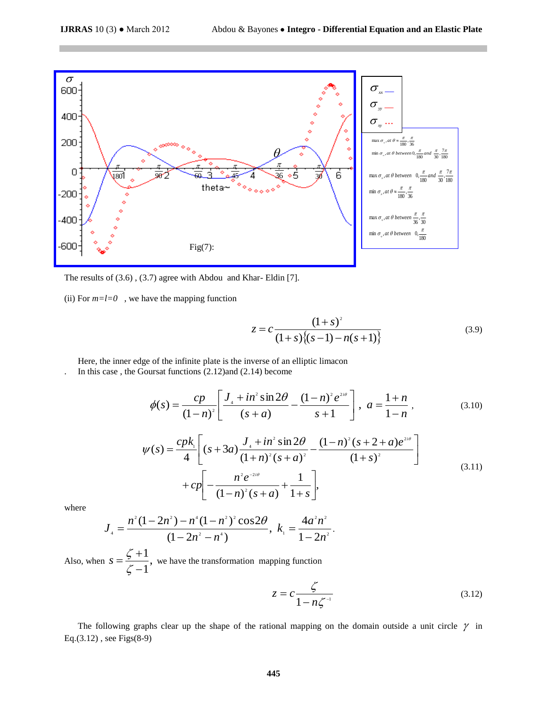

The results of (3.6) , (3.7) agree with Abdou and Khar- Eldin [7].

(ii) For  $m=l=0$ , we have the mapping function

$$
z = c \frac{(1+s)^2}{(1+s)\{(s-1) - n(s+1)\}}
$$
(3.9)

Here, the inner edge of the infinite plate is the inverse of an elliptic limacon

. In this case , the Goursat functions (2.12)and (2.14) become

$$
\phi(s) = \frac{cp}{(1-n)^2} \left[ \frac{J_+ + in^2 \sin 2\theta}{(s+a)} - \frac{(1-n)^2 e^{2i\theta}}{s+1} \right], \ a = \frac{1+n}{1-n}, \tag{3.10}
$$

$$
\psi(s) = \frac{cpk_1}{4} \left[ (s+3a) \frac{J_4 + in^2 \sin 2\theta}{(1+n)^2 (s+a)^2} - \frac{(1-n)^2 (s+2+a)e^{2i\theta}}{(1+s)^2} \right] + cp \left[ -\frac{n^2 e^{-2i\theta}}{(1-n)^2 (s+a)} + \frac{1}{1+s} \right],
$$
\n(3.11)

where

$$
J_4 = \frac{n^2(1-2n^2) - n^4(1-n^2)^2 \cos 2\theta}{(1-2n^2-n^4)}, \ k_1 = \frac{4a^2n^2}{1-2n^2}.
$$

Also, when  $s = \frac{5+1}{3}$ , 1 1  $\overline{a}$  $\ddot{}$  $=$  $\zeta$  $s = \frac{\zeta + 1}{\zeta - 1}$ , we have the transformation mapping function

$$
z = c \frac{\zeta}{1 - n\zeta^{-1}}\tag{3.12}
$$

The following graphs clear up the shape of the rational mapping on the domain outside a unit circle  $\gamma$  in Eq.(3.12) , see Figs(8-9)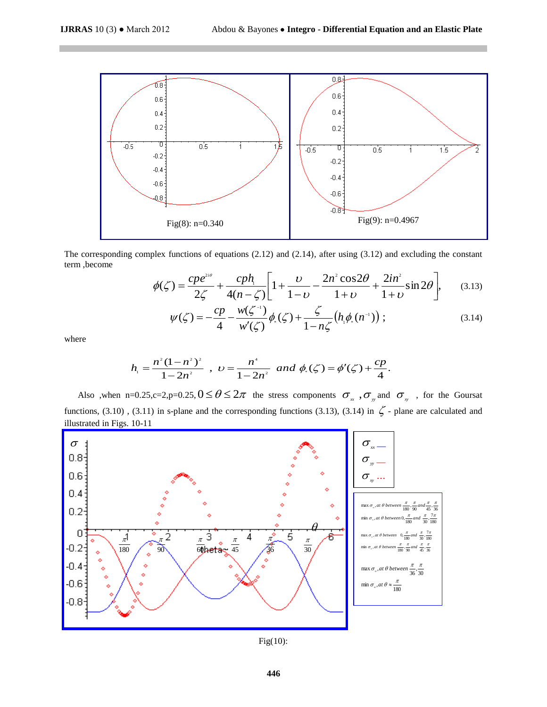

The corresponding complex functions of equations (2.12) and (2.14), after using (3.12) and excluding the constant term ,become

$$
\phi(\zeta) = \frac{cpe^{2i\theta}}{2\zeta} + \frac{cph_1}{4(n-\zeta)} \left[ 1 + \frac{\upsilon}{1-\upsilon} - \frac{2n^2\cos 2\theta}{1+\upsilon} + \frac{2in^2}{1+\upsilon} \sin 2\theta \right],\tag{3.13}
$$

$$
\psi(\zeta) = -\frac{cp}{4} - \frac{w(\zeta^{-1})}{w'(\zeta)} \phi_{*}(\zeta) + \frac{\zeta}{1 - n\zeta} (h_{+} \phi_{*}(n^{-1})); \tag{3.14}
$$

where

$$
h_1 = \frac{n^2(1-n^2)^2}{1-2n^2}
$$
,  $v = \frac{n^4}{1-2n^2}$  and  $\phi_1(\zeta) = \phi'(\zeta) + \frac{cp}{4}$ .

Also ,when n=0.25,c=2,p=0.25,  $0 \le \theta \le 2\pi$  the stress components  $\sigma_{xx}$ ,  $\sigma_{yy}$  and  $\sigma_{xy}$ , for the Goursat functions, (3.10), (3.11) in s-plane and the corresponding functions (3.13), (3.14) in  $\zeta$  - plane are calculated and illustrated in Figs. 10-11



Fig(10):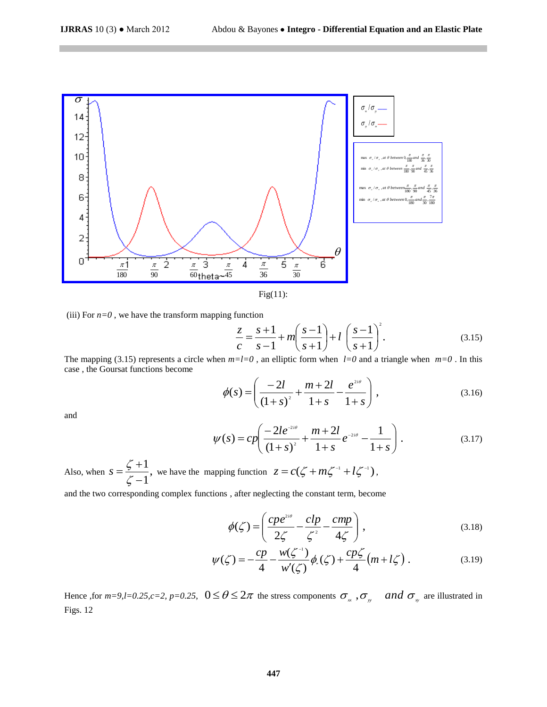

Fig(11):

(iii) For  $n=0$ , we have the transform mapping function

$$
\frac{z}{c} = \frac{s+1}{s-1} + m \left( \frac{s-1}{s+1} \right) + l \left( \frac{s-1}{s+1} \right)^2.
$$
 (3.15)

The mapping (3.15) represents a circle when  $m=l=0$ , an elliptic form when  $l=0$  and a triangle when  $m=0$ . In this case , the Goursat functions become

$$
\phi(s) = \left(\frac{-2l}{(1+s)^2} + \frac{m+2l}{1+s} - \frac{e^{2i\theta}}{1+s}\right),\tag{3.16}
$$

and

$$
\psi(s) = cp \left( \frac{-2le^{-2i\theta}}{(1+s)^2} + \frac{m+2l}{1+s}e^{-2i\theta} - \frac{1}{1+s} \right). \tag{3.17}
$$

Also, when  $s = \frac{5+1}{3}$ , 1 1  $\overline{a}$  $\ddot{}$  $=$  $\zeta$  $s = \frac{\zeta + 1}{\zeta - 1}$ , we have the mapping function  $z = c(\zeta + m\zeta^{-1} + l\zeta^{-1})$ ,

and the two corresponding complex functions , after neglecting the constant term, become

$$
\phi(\zeta) = \left(\frac{cpe^{2i\theta}}{2\zeta} - \frac{clp}{\zeta^2} - \frac{cmp}{4\zeta}\right),\tag{3.18}
$$

$$
\psi(\zeta) = -\frac{cp}{4} - \frac{w(\zeta^{-1})}{w'(\zeta)} \phi_{*}(\zeta) + \frac{cp\zeta}{4} (m + l\zeta).
$$
 (3.19)

Hence , for  $m=9$ ,  $l=0.25$ ,  $c=2$ ,  $p=0.25$ ,  $0 \le \theta \le 2\pi$  the stress components  $\sigma_{\pi}$ ,  $\sigma_{\pi}$  and  $\sigma_{\pi}$  are illustrated in Figs. 12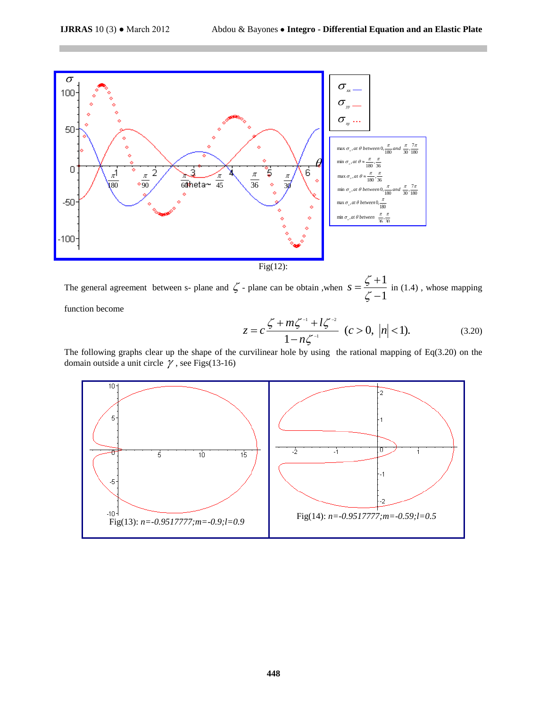

The general agreement between s- plane and  $\zeta$  - plane can be obtain, when 1 1  $\overline{a}$  $\ddot{}$  $=$  $\zeta$  $s = \frac{\zeta + 1}{\zeta}$  in (1.4), whose mapping

function become

$$
z = c \frac{\zeta + m\zeta^{-1} + l\zeta^{-2}}{1 - n\zeta^{-1}} \quad (c > 0, \ |n| < 1). \tag{3.20}
$$

The following graphs clear up the shape of the curvilinear hole by using the rational mapping of Eq(3.20) on the domain outside a unit circle  $\gamma$ , see Figs(13-16)

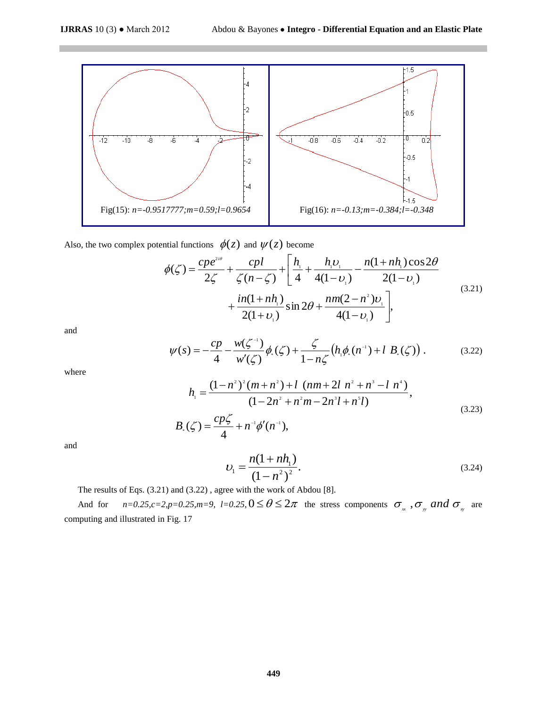

Also, the two complex potential functions  $\phi(z)$  and  $\psi(z)$  become

$$
\begin{aligned}\n\text{Initial functions } \phi(z) \text{ and } \psi(z) \text{ become} \\
\phi(\zeta) &= \frac{cpe^{2i\theta}}{2\zeta} + \frac{cpl}{\zeta(n-\zeta)} + \left[ \frac{h_1}{4} + \frac{h_1 v_1}{4(1-v_1)} - \frac{n(1+nh_1)\cos 2\theta}{2(1-v_1)} \right. \\
&\left. + \frac{in(1+nh_1)}{2(1+v_1)} \sin 2\theta + \frac{nm(2-n^2)v_1}{4(1-v_1)} \right],\n\end{aligned} \tag{3.21}
$$

and

$$
\psi(s) = -\frac{cp}{4} - \frac{w(\zeta^{-1})}{w'(\zeta)} \phi_{*}(\zeta) + \frac{\zeta}{1 - n\zeta} \left( h_{*} \phi_{*}(n^{-1}) + l \ B_{*}(\zeta) \right). \tag{3.22}
$$

where

$$
h_{1} = \frac{(1-n^{2})^{2}(m+n^{2})+l(nm+2l n^{2}+n^{3}-l n^{4})}{(1-2n^{2}+n^{2}m-2n^{3}l+n^{5}l)},
$$
\n(3.23)

$$
B_{\scriptscriptstyle \circ}( \zeta) = \frac{c p \zeta}{4} + n^{-1} \phi'(n^{-1}),
$$

and

$$
U_1 = \frac{n(1 + nh_1)}{(1 - n^2)^2}.
$$
\n(3.24)

The results of Eqs. (3.21) and (3.22) , agree with the work of Abdou [8].

And for  $n=0.25, c=2, p=0.25, m=9, l=0.25, 0 \le \theta \le 2\pi$  the stress components  $\sigma_{xx}$ ,  $\sigma_{yy}$  and  $\sigma_{xy}$  are computing and illustrated in Fig. 17